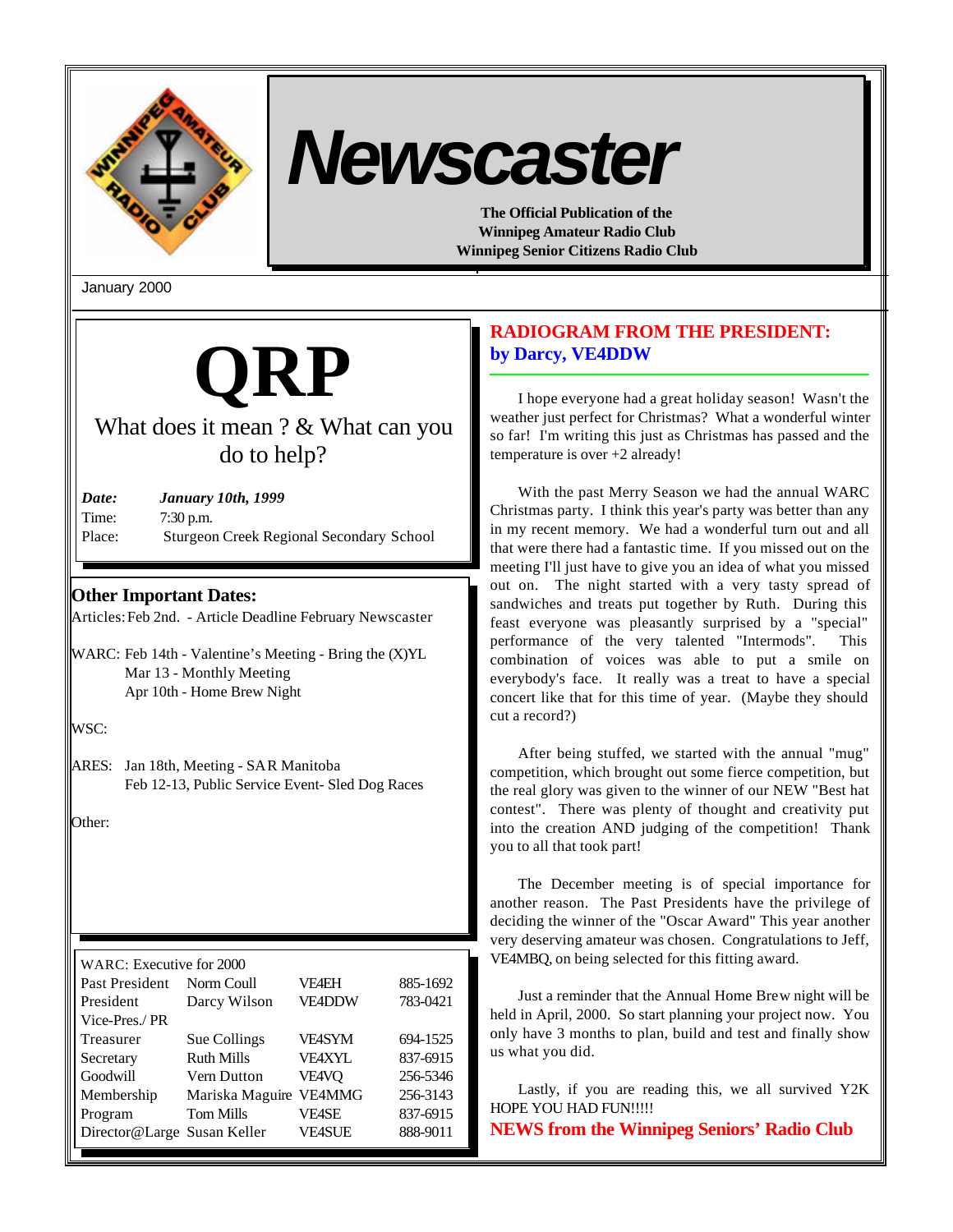

# *Newscaster*

**The Official Publication of the Winnipeg Amateur Radio Club Winnipeg Senior Citizens Radio Club**

January 2000



# What does it mean ? & What can you do to help?

| Date:  | <b>January 10th, 1999</b>                       |
|--------|-------------------------------------------------|
| Time:  | $7:30$ p.m.                                     |
| Place: | <b>Sturgeon Creek Regional Secondary School</b> |

# **Other Important Dates:**

Articles: Feb 2nd. - Article Deadline February Newscaster

WARC: Feb 14th - Valentine's Meeting - Bring the (X)YL Mar 13 - Monthly Meeting Apr 10th - Home Brew Night

WSC:

ARES: Jan 18th, Meeting - SAR Manitoba Feb 12-13, Public Service Event- Sled Dog Races

Other:

| WARC: Executive for 2000    |                   |               |          |  |  |
|-----------------------------|-------------------|---------------|----------|--|--|
| Past President              | Norm Coull        | VF4EH         | 885-1692 |  |  |
| President                   | Darcy Wilson      | <b>VE4DDW</b> | 783-0421 |  |  |
| Vice-Pres./PR               |                   |               |          |  |  |
| Treasurer                   | Sue Collings      | VF4SYM        | 694-1525 |  |  |
| Secretary                   | <b>Ruth Mills</b> | VFAXYL        | 837-6915 |  |  |
| Goodwill                    | Vern Dutton       | VE4VQ         | 256-5346 |  |  |
| Membership                  | Mariska Maguire   | <b>VE4MMG</b> | 256-3143 |  |  |
| Program                     | <b>Tom Mills</b>  | VF4SE         | 837-6915 |  |  |
| Director@Large Susan Keller |                   | VE4SUE        | 888-9011 |  |  |
|                             |                   |               |          |  |  |

# **RADIOGRAM FROM THE PRESIDENT: by Darcy, VE4DDW**

I hope everyone had a great holiday season! Wasn't the weather just perfect for Christmas? What a wonderful winter so far! I'm writing this just as Christmas has passed and the temperature is over +2 already!

With the past Merry Season we had the annual WARC Christmas party. I think this year's party was better than any in my recent memory. We had a wonderful turn out and all that were there had a fantastic time. If you missed out on the meeting I'll just have to give you an idea of what you missed out on. The night started with a very tasty spread of sandwiches and treats put together by Ruth. During this feast everyone was pleasantly surprised by a "special" performance of the very talented "Intermods". This combination of voices was able to put a smile on everybody's face. It really was a treat to have a special concert like that for this time of year. (Maybe they should cut a record?)

After being stuffed, we started with the annual "mug" competition, which brought out some fierce competition, but the real glory was given to the winner of our NEW "Best hat contest". There was plenty of thought and creativity put into the creation AND judging of the competition! Thank you to all that took part!

The December meeting is of special importance for another reason. The Past Presidents have the privilege of deciding the winner of the "Oscar Award" This year another very deserving amateur was chosen. Congratulations to Jeff, VE4MBQ, on being selected for this fitting award.

Just a reminder that the Annual Home Brew night will be held in April, 2000. So start planning your project now. You only have 3 months to plan, build and test and finally show us what you did.

Lastly, if you are reading this, we all survived Y2K HOPE YOU HAD FUN!!!!!

**NEWS from the Winnipeg Seniors' Radio Club**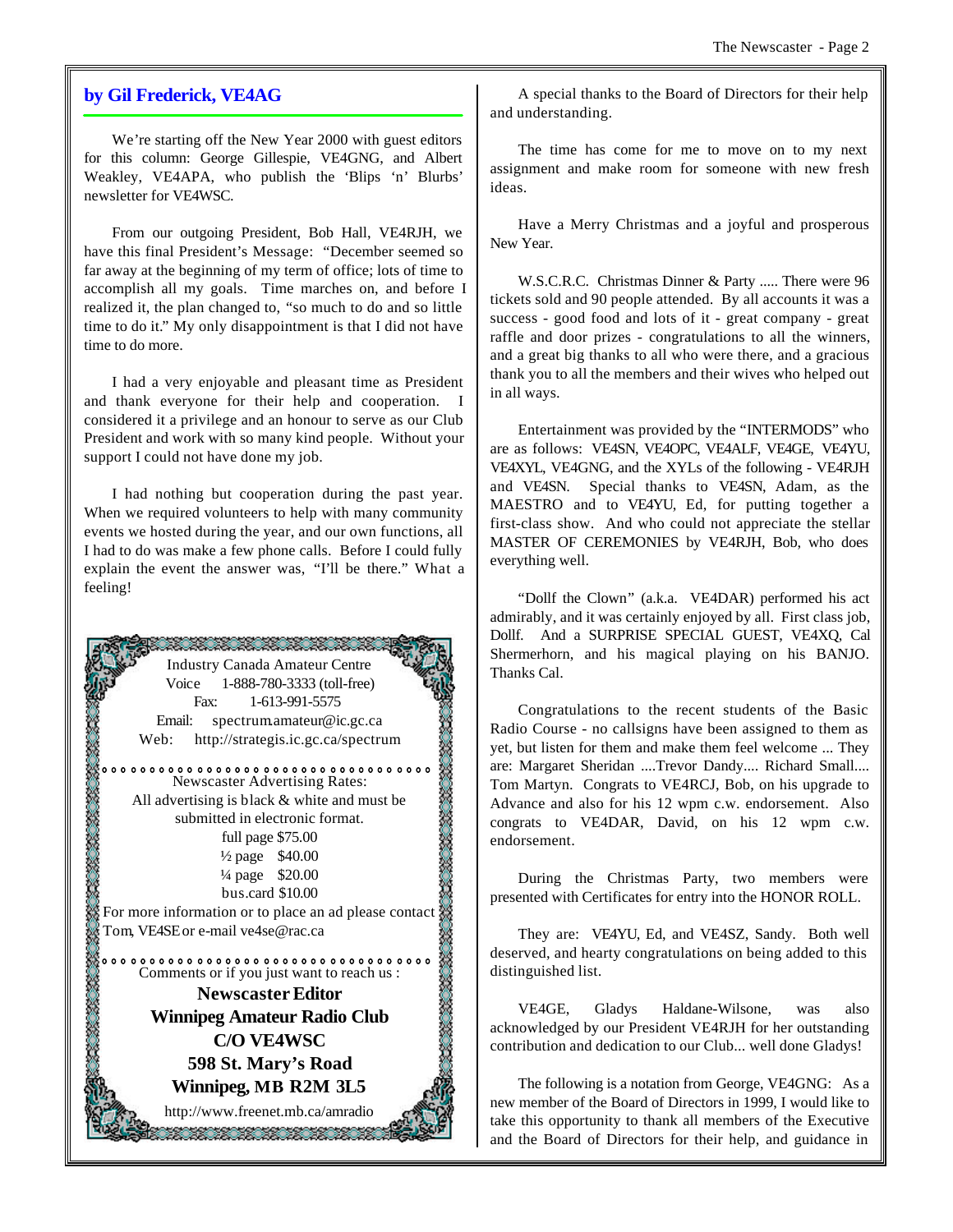## **by Gil Frederick, VE4AG**

We're starting off the New Year 2000 with guest editors for this column: George Gillespie, VE4GNG, and Albert Weakley, VE4APA, who publish the 'Blips 'n' Blurbs' newsletter for VE4WSC.

From our outgoing President, Bob Hall, VE4RJH, we have this final President's Message: "December seemed so far away at the beginning of my term of office; lots of time to accomplish all my goals. Time marches on, and before I realized it, the plan changed to, "so much to do and so little time to do it." My only disappointment is that I did not have time to do more.

I had a very enjoyable and pleasant time as President and thank everyone for their help and cooperation. I considered it a privilege and an honour to serve as our Club President and work with so many kind people. Without your support I could not have done my job.

I had nothing but cooperation during the past year. When we required volunteers to help with many community events we hosted during the year, and our own functions, all I had to do was make a few phone calls. Before I could fully explain the event the answer was, "I'll be there." What a feeling!



A special thanks to the Board of Directors for their help and understanding.

The time has come for me to move on to my next assignment and make room for someone with new fresh ideas.

Have a Merry Christmas and a joyful and prosperous New Year.

W.S.C.R.C. Christmas Dinner & Party ..... There were 96 tickets sold and 90 people attended. By all accounts it was a success - good food and lots of it - great company - great raffle and door prizes - congratulations to all the winners, and a great big thanks to all who were there, and a gracious thank you to all the members and their wives who helped out in all ways.

Entertainment was provided by the "INTERMODS" who are as follows: VE4SN, VE4OPC, VE4ALF, VE4GE, VE4YU, VE4XYL, VE4GNG, and the XYLs of the following - VE4RJH and VE4SN. Special thanks to VE4SN, Adam, as the MAESTRO and to VE4YU, Ed, for putting together a first-class show. And who could not appreciate the stellar MASTER OF CEREMONIES by VE4RJH, Bob, who does everything well.

"Dollf the Clown" (a.k.a. VE4DAR) performed his act admirably, and it was certainly enjoyed by all. First class job, Dollf. And a SURPRISE SPECIAL GUEST, VE4XQ, Cal Shermerhorn, and his magical playing on his BANJO. Thanks Cal.

Congratulations to the recent students of the Basic Radio Course - no callsigns have been assigned to them as yet, but listen for them and make them feel welcome ... They are: Margaret Sheridan ....Trevor Dandy.... Richard Small.... Tom Martyn. Congrats to VE4RCJ, Bob, on his upgrade to Advance and also for his 12 wpm c.w. endorsement. Also congrats to VE4DAR, David, on his 12 wpm c.w. endorsement.

During the Christmas Party, two members were presented with Certificates for entry into the HONOR ROLL.

They are: VE4YU, Ed, and VE4SZ, Sandy. Both well deserved, and hearty congratulations on being added to this distinguished list.

VE4GE, Gladys Haldane-Wilsone, was also acknowledged by our President VE4RJH for her outstanding contribution and dedication to our Club... well done Gladys!

The following is a notation from George, VE4GNG: As a new member of the Board of Directors in 1999, I would like to take this opportunity to thank all members of the Executive and the Board of Directors for their help, and guidance in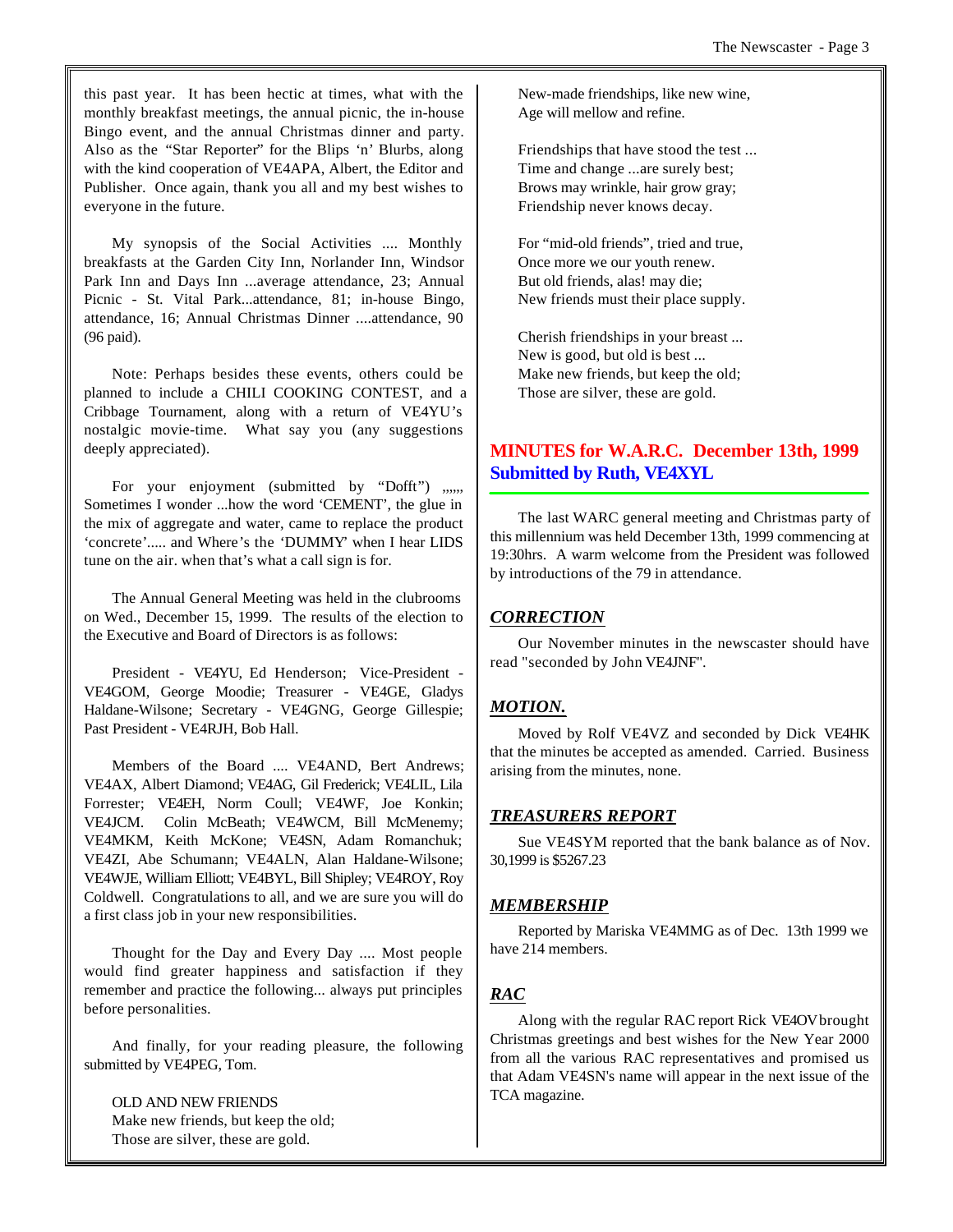this past year. It has been hectic at times, what with the monthly breakfast meetings, the annual picnic, the in-house Bingo event, and the annual Christmas dinner and party. Also as the "Star Reporter" for the Blips 'n' Blurbs, along with the kind cooperation of VE4APA, Albert, the Editor and Publisher. Once again, thank you all and my best wishes to everyone in the future.

My synopsis of the Social Activities .... Monthly breakfasts at the Garden City Inn, Norlander Inn, Windsor Park Inn and Days Inn ...average attendance, 23; Annual Picnic - St. Vital Park...attendance, 81; in-house Bingo, attendance, 16; Annual Christmas Dinner ....attendance, 90 (96 paid).

Note: Perhaps besides these events, others could be planned to include a CHILI COOKING CONTEST, and a Cribbage Tournament, along with a return of VE4YU's nostalgic movie-time. What say you (any suggestions deeply appreciated).

For your enjoyment (submitted by "Dofft") ,,,,, Sometimes I wonder ...how the word 'CEMENT', the glue in the mix of aggregate and water, came to replace the product 'concrete'..... and Where's the 'DUMMY' when I hear LIDS tune on the air. when that's what a call sign is for.

The Annual General Meeting was held in the clubrooms on Wed., December 15, 1999. The results of the election to the Executive and Board of Directors is as follows:

President - VE4YU, Ed Henderson; Vice-President - VE4GOM, George Moodie; Treasurer - VE4GE, Gladys Haldane-Wilsone; Secretary - VE4GNG, George Gillespie; Past President - VE4RJH, Bob Hall.

Members of the Board .... VE4AND, Bert Andrews; VE4AX, Albert Diamond; VE4AG, Gil Frederick; VE4LIL, Lila Forrester; VE4EH, Norm Coull; VE4WF, Joe Konkin; VE4JCM. Colin McBeath; VE4WCM, Bill McMenemy; VE4MKM, Keith McKone; VE4SN, Adam Romanchuk; VE4ZI, Abe Schumann; VE4ALN, Alan Haldane-Wilsone; VE4WJE, William Elliott; VE4BYL, Bill Shipley; VE4ROY, Roy Coldwell. Congratulations to all, and we are sure you will do a first class job in your new responsibilities.

Thought for the Day and Every Day .... Most people would find greater happiness and satisfaction if they remember and practice the following... always put principles before personalities.

And finally, for your reading pleasure, the following submitted by VE4PEG, Tom.

OLD AND NEW FRIENDS Make new friends, but keep the old; Those are silver, these are gold.

New-made friendships, like new wine, Age will mellow and refine.

Friendships that have stood the test ... Time and change ...are surely best; Brows may wrinkle, hair grow gray; Friendship never knows decay.

For "mid-old friends", tried and true, Once more we our youth renew. But old friends, alas! may die; New friends must their place supply.

Cherish friendships in your breast ... New is good, but old is best ... Make new friends, but keep the old; Those are silver, these are gold.

# **MINUTES for W.A.R.C. December 13th, 1999 Submitted by Ruth, VE4XYL**

The last WARC general meeting and Christmas party of this millennium was held December 13th, 1999 commencing at 19:30hrs. A warm welcome from the President was followed by introductions of the 79 in attendance.

# *CORRECTION*

Our November minutes in the newscaster should have read "seconded by John VE4JNF".

# *MOTION.*

Moved by Rolf VE4VZ and seconded by Dick VE4HK that the minutes be accepted as amended. Carried. Business arising from the minutes, none.

# *TREASURERS REPORT*

Sue VE4SYM reported that the bank balance as of Nov. 30,1999 is \$5267.23

# *MEMBERSHIP*

Reported by Mariska VE4MMG as of Dec. 13th 1999 we have 214 members.

# *RAC*

Along with the regular RAC report Rick VE4OV brought Christmas greetings and best wishes for the New Year 2000 from all the various RAC representatives and promised us that Adam VE4SN's name will appear in the next issue of the TCA magazine.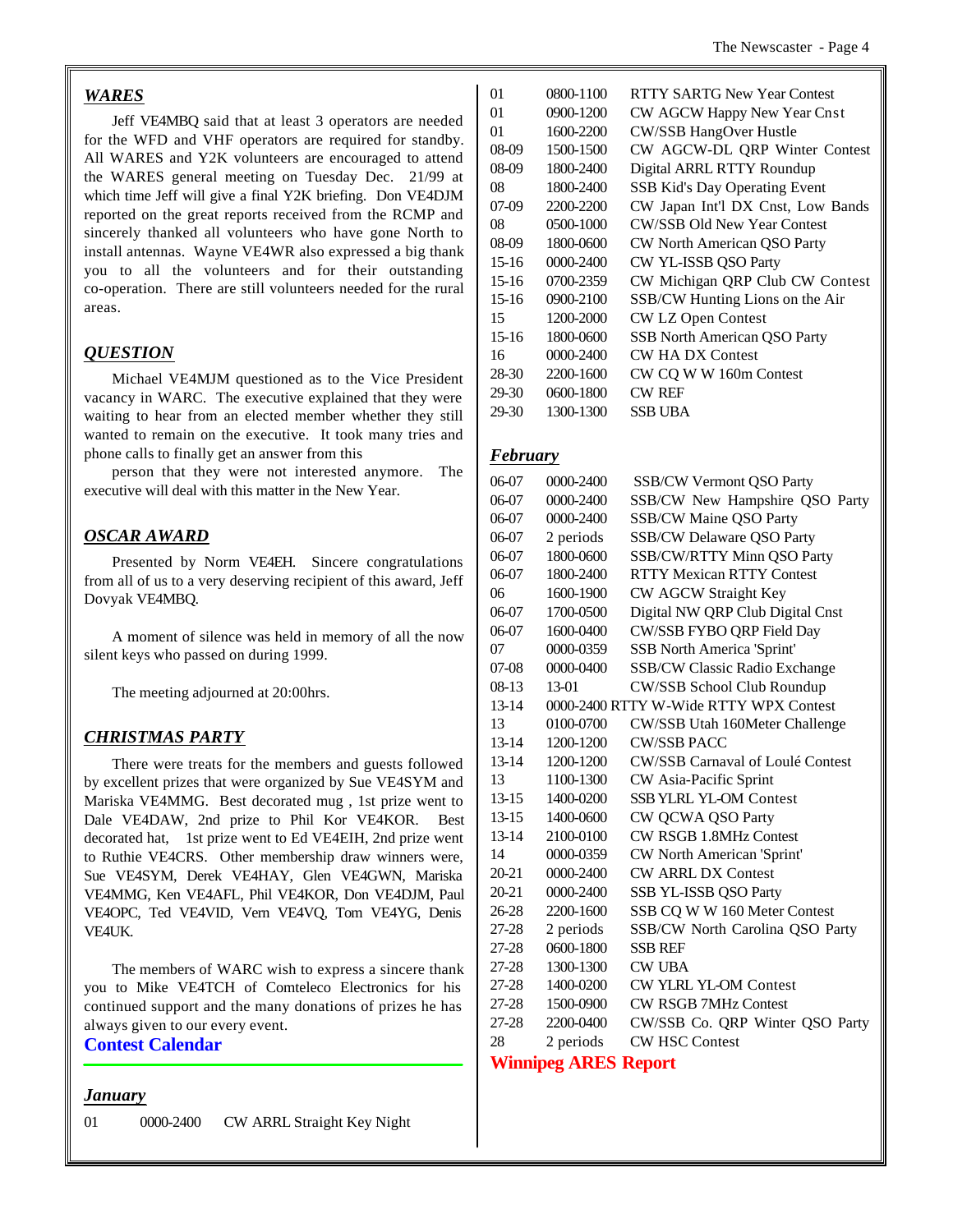#### *WARES*

Jeff VE4MBQ said that at least 3 operators are needed for the WFD and VHF operators are required for standby. All WARES and Y2K volunteers are encouraged to attend the WARES general meeting on Tuesday Dec. 21/99 at which time Jeff will give a final Y2K briefing. Don VE4DJM reported on the great reports received from the RCMP and sincerely thanked all volunteers who have gone North to install antennas. Wayne VE4WR also expressed a big thank you to all the volunteers and for their outstanding co-operation. There are still volunteers needed for the rural areas.

## *QUESTION*

Michael VE4MJM questioned as to the Vice President vacancy in WARC. The executive explained that they were waiting to hear from an elected member whether they still wanted to remain on the executive. It took many tries and phone calls to finally get an answer from this

person that they were not interested anymore. The executive will deal with this matter in the New Year.

## *OSCAR AWARD*

Presented by Norm VE4EH. Sincere congratulations from all of us to a very deserving recipient of this award, Jeff Dovyak VE4MBQ.

A moment of silence was held in memory of all the now silent keys who passed on during 1999.

The meeting adjourned at 20:00hrs.

## *CHRISTMAS PARTY*

There were treats for the members and guests followed by excellent prizes that were organized by Sue VE4SYM and Mariska VE4MMG. Best decorated mug , 1st prize went to Dale VE4DAW, 2nd prize to Phil Kor VE4KOR. Best decorated hat, 1st prize went to Ed VE4EIH, 2nd prize went to Ruthie VE4CRS. Other membership draw winners were, Sue VE4SYM, Derek VE4HAY, Glen VE4GWN, Mariska VE4MMG, Ken VE4AFL, Phil VE4KOR, Don VE4DJM, Paul VE4OPC, Ted VE4VID, Vern VE4VQ, Tom VE4YG, Denis VE4UK.

The members of WARC wish to express a sincere thank you to Mike VE4TCH of Comteleco Electronics for his continued support and the many donations of prizes he has always given to our every event.

## **Contest Calendar**

#### *January*

01 0000-2400 CW ARRL Straight Key Night

| 01      | 0800-1100 | <b>RTTY SARTG New Year Contest</b>   |
|---------|-----------|--------------------------------------|
| 01      | 0900-1200 | CW AGCW Happy New Year Cnst          |
| 01      | 1600-2200 | <b>CW/SSB HangOver Hustle</b>        |
| 08-09   | 1500-1500 | CW AGCW-DL QRP Winter Contest        |
| $08-09$ | 1800-2400 | Digital ARRL RTTY Roundup            |
| 08      | 1800-2400 | <b>SSB Kid's Day Operating Event</b> |
| 07-09   | 2200-2200 | CW Japan Int'l DX Cnst, Low Bands    |
| 08      | 0500-1000 | <b>CW/SSB Old New Year Contest</b>   |
| 08-09   | 1800-0600 | CW North American QSO Party          |
| $15-16$ | 0000-2400 | CW YL-ISSB QSO Party                 |
| $15-16$ | 0700-2359 | CW Michigan QRP Club CW Contest      |
| $15-16$ | 0900-2100 | SSB/CW Hunting Lions on the Air      |
| 15      | 1200-2000 | CW LZ Open Contest                   |
| $15-16$ | 1800-0600 | SSB North American QSO Party         |
| 16      | 0000-2400 | <b>CW HA DX Contest</b>              |
| 28-30   | 2200-1600 | CW CQ W W 160m Contest               |
| 29-30   | 0600-1800 | <b>CW REF</b>                        |
| 29-30   | 1300-1300 | SSB UBA                              |

#### *February*

| 06-07     | 0000-2400 | <b>SSB/CW Vermont QSO Party</b>        |
|-----------|-----------|----------------------------------------|
| 06-07     | 0000-2400 | SSB/CW New Hampshire QSO Party         |
| 06-07     | 0000-2400 | SSB/CW Maine QSO Party                 |
| 06-07     | 2 periods | <b>SSB/CW Delaware QSO Party</b>       |
| 06-07     | 1800-0600 | SSB/CW/RTTY Minn QSO Party             |
| 06-07     | 1800-2400 | <b>RTTY Mexican RTTY Contest</b>       |
| 06        | 1600-1900 | CW AGCW Straight Key                   |
| 06-07     | 1700-0500 | Digital NW QRP Club Digital Cnst       |
| 06-07     | 1600-0400 | CW/SSB FYBO QRP Field Day              |
| 07        | 0000-0359 | <b>SSB North America 'Sprint'</b>      |
| 07-08     | 0000-0400 | <b>SSB/CW Classic Radio Exchange</b>   |
| 08-13     | $13-01$   | CW/SSB School Club Roundup             |
| 13-14     |           | 0000-2400 RTTY W-Wide RTTY WPX Contest |
| 13        | 0100-0700 | CW/SSB Utah 160Meter Challenge         |
| $13 - 14$ | 1200-1200 | <b>CW/SSB PACC</b>                     |
| $13 - 14$ | 1200-1200 | CW/SSB Carnaval of Loulé Contest       |
| 13        | 1100-1300 | CW Asia-Pacific Sprint                 |
| $13 - 15$ | 1400-0200 | SSB YLRL YL-OM Contest                 |
| $13-15$   | 1400-0600 | CW QCWA QSO Party                      |
| $13 - 14$ | 2100-0100 | <b>CW RSGB 1.8MHz Contest</b>          |
| 14        | 0000-0359 | CW North American 'Sprint'             |
| $20 - 21$ | 0000-2400 | <b>CW ARRL DX Contest</b>              |
| 20-21     | 0000-2400 | SSB YL-ISSB QSO Party                  |
| 26-28     | 2200-1600 | SSB CQ W W 160 Meter Contest           |
| 27-28     | 2 periods | SSB/CW North Carolina QSO Party        |
| 27-28     | 0600-1800 | <b>SSB REF</b>                         |
| 27-28     | 1300-1300 | <b>CW UBA</b>                          |
| 27-28     | 1400-0200 | <b>CW YLRL YL-OM Contest</b>           |
| 27-28     | 1500-0900 | <b>CW RSGB 7MHz Contest</b>            |
| 27-28     | 2200-0400 | CW/SSB Co. QRP Winter QSO Party        |
| 28        | 2 periods | <b>CW HSC Contest</b>                  |
|           |           |                                        |

## **Winnipeg ARES Report**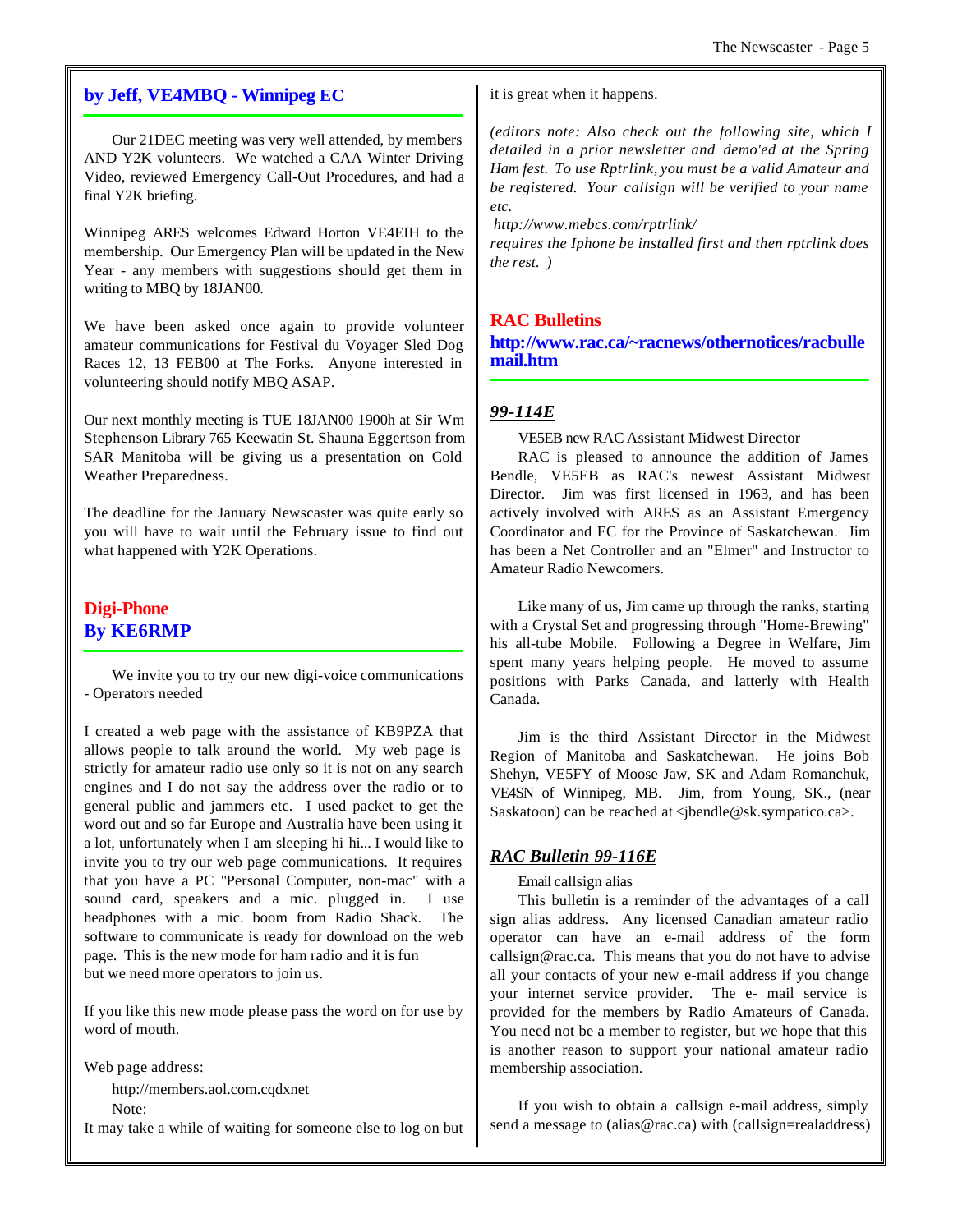## **by Jeff, VE4MBQ - Winnipeg EC**

Our 21DEC meeting was very well attended, by members AND Y2K volunteers. We watched a CAA Winter Driving Video, reviewed Emergency Call-Out Procedures, and had a final Y2K briefing.

Winnipeg ARES welcomes Edward Horton VE4EIH to the membership. Our Emergency Plan will be updated in the New Year - any members with suggestions should get them in writing to MBQ by 18JAN00.

We have been asked once again to provide volunteer amateur communications for Festival du Voyager Sled Dog Races 12, 13 FEB00 at The Forks. Anyone interested in volunteering should notify MBQ ASAP.

Our next monthly meeting is TUE 18JAN00 1900h at Sir Wm Stephenson Library 765 Keewatin St. Shauna Eggertson from SAR Manitoba will be giving us a presentation on Cold Weather Preparedness.

The deadline for the January Newscaster was quite early so you will have to wait until the February issue to find out what happened with Y2K Operations.

# **Digi-Phone By KE6RMP**

We invite you to try our new digi-voice communications - Operators needed

I created a web page with the assistance of KB9PZA that allows people to talk around the world. My web page is strictly for amateur radio use only so it is not on any search engines and I do not say the address over the radio or to general public and jammers etc. I used packet to get the word out and so far Europe and Australia have been using it a lot, unfortunately when I am sleeping hi hi... I would like to invite you to try our web page communications. It requires that you have a PC "Personal Computer, non-mac" with a sound card, speakers and a mic. plugged in. I use headphones with a mic. boom from Radio Shack. The software to communicate is ready for download on the web page. This is the new mode for ham radio and it is fun but we need more operators to join us.

If you like this new mode please pass the word on for use by word of mouth.

Web page address:

http://members.aol.com.cqdxnet Note:

It may take a while of waiting for someone else to log on but

it is great when it happens.

*(editors note: Also check out the following site, which I detailed in a prior newsletter and demo'ed at the Spring Ham fest. To use Rptrlink, you must be a valid Amateur and be registered. Your callsign will be verified to your name etc.*

 *http://www.mebcs.com/rptrlink/*

*requires the Iphone be installed first and then rptrlink does the rest. )*

# **RAC Bulletins http://www.rac.ca/~racnews/othernotices/racbulle mail.htm**

## *99-114E*

VE5EB new RAC Assistant Midwest Director

RAC is pleased to announce the addition of James Bendle, VE5EB as RAC's newest Assistant Midwest Director. Jim was first licensed in 1963, and has been actively involved with ARES as an Assistant Emergency Coordinator and EC for the Province of Saskatchewan. Jim has been a Net Controller and an "Elmer" and Instructor to Amateur Radio Newcomers.

Like many of us, Jim came up through the ranks, starting with a Crystal Set and progressing through "Home-Brewing" his all-tube Mobile. Following a Degree in Welfare, Jim spent many years helping people. He moved to assume positions with Parks Canada, and latterly with Health Canada.

Jim is the third Assistant Director in the Midwest Region of Manitoba and Saskatchewan. He joins Bob Shehyn, VE5FY of Moose Jaw, SK and Adam Romanchuk, VE4SN of Winnipeg, MB. Jim, from Young, SK., (near Saskatoon) can be reached at <jbendle@sk.sympatico.ca>.

## *RAC Bulletin 99-116E*

#### Email callsign alias

This bulletin is a reminder of the advantages of a call sign alias address. Any licensed Canadian amateur radio operator can have an e-mail address of the form callsign@rac.ca. This means that you do not have to advise all your contacts of your new e-mail address if you change your internet service provider. The e- mail service is provided for the members by Radio Amateurs of Canada. You need not be a member to register, but we hope that this is another reason to support your national amateur radio membership association.

If you wish to obtain a callsign e-mail address, simply send a message to (alias@rac.ca) with (callsign=realaddress)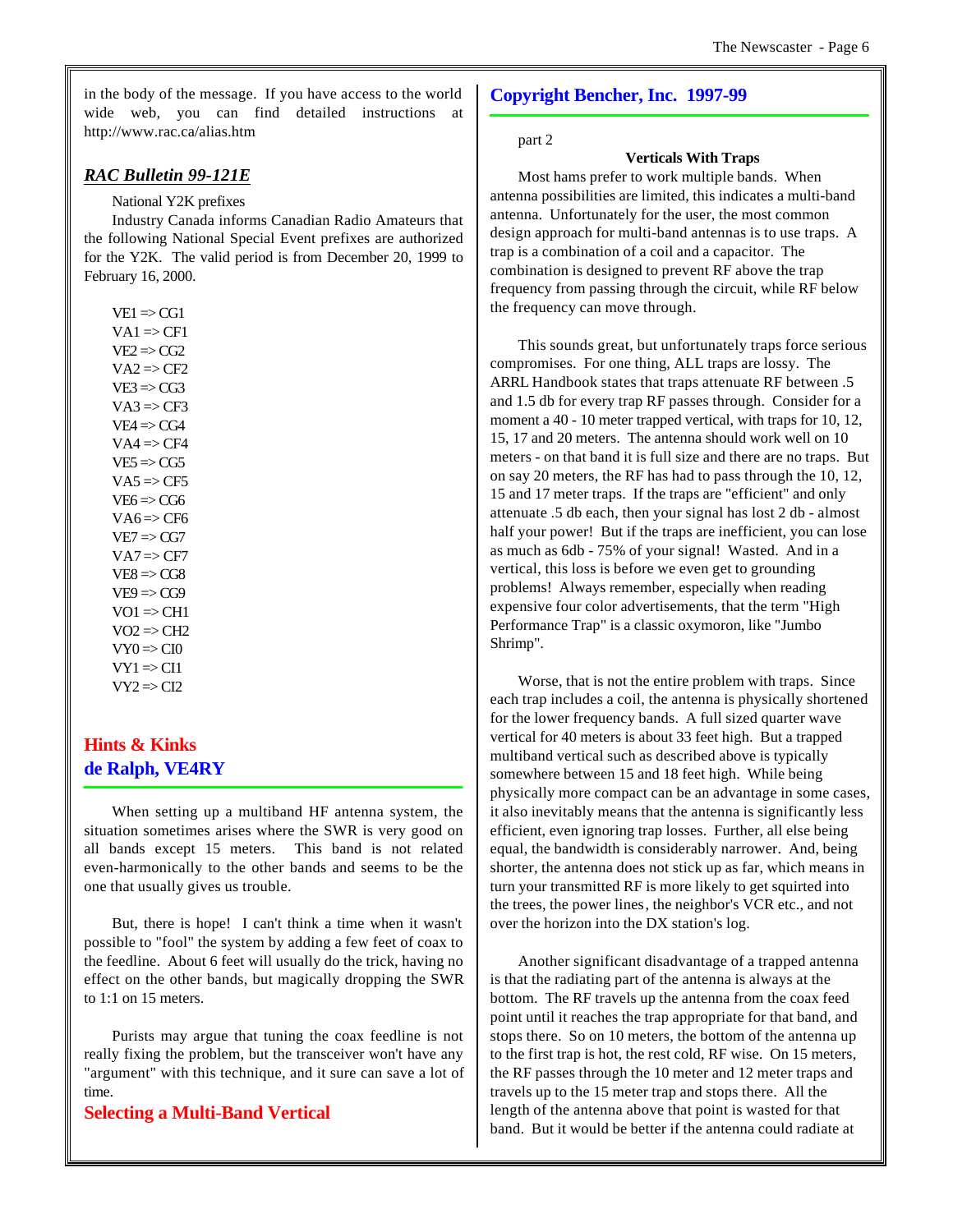in the body of the message. If you have access to the world wide web, you can find detailed instructions at http://www.rac.ca/alias.htm

### *RAC Bulletin 99-121E*

#### National Y2K prefixes

Industry Canada informs Canadian Radio Amateurs that the following National Special Event prefixes are authorized for the Y2K. The valid period is from December 20, 1999 to February 16, 2000.

 $VE1 \Rightarrow CG1$  $VA1 \Rightarrow CF1$  $VE2 \Rightarrow CG2$  $VA2 \Rightarrow CF2$  $VE3 \Rightarrow CG3$  $VA3 \Rightarrow CF3$  $VE4 \Rightarrow CG4$  $VA4 \Rightarrow CF4$  $VE5 \Rightarrow CG5$  $VA5 \Rightarrow CF5$  $VE6 \Rightarrow CG6$  $VA6 \Rightarrow CF6$  $VE7 \Rightarrow CG7$  $VA7 \Rightarrow CF7$  $VE8 \Rightarrow CG8$  $VE9 \Rightarrow CG9$  $VO1 \Rightarrow CH1$  $VO2 \Rightarrow CH2$  $VY0 \Rightarrow Cl0$  $VY1 \Rightarrow CI1$  $VY2 \Rightarrow CI2$ 

# **Hints & Kinks de Ralph, VE4RY**

When setting up a multiband HF antenna system, the situation sometimes arises where the SWR is very good on all bands except 15 meters. This band is not related even-harmonically to the other bands and seems to be the one that usually gives us trouble.

But, there is hope! I can't think a time when it wasn't possible to "fool" the system by adding a few feet of coax to the feedline. About 6 feet will usually do the trick, having no effect on the other bands, but magically dropping the SWR to 1:1 on 15 meters.

Purists may argue that tuning the coax feedline is not really fixing the problem, but the transceiver won't have any "argument" with this technique, and it sure can save a lot of time.

#### **Selecting a Multi-Band Vertical**

## **Copyright Bencher, Inc. 1997-99**

#### part 2

#### **Verticals With Traps**

Most hams prefer to work multiple bands. When antenna possibilities are limited, this indicates a multi-band antenna. Unfortunately for the user, the most common design approach for multi-band antennas is to use traps. A trap is a combination of a coil and a capacitor. The combination is designed to prevent RF above the trap frequency from passing through the circuit, while RF below the frequency can move through.

This sounds great, but unfortunately traps force serious compromises. For one thing, ALL traps are lossy. The ARRL Handbook states that traps attenuate RF between .5 and 1.5 db for every trap RF passes through. Consider for a moment a 40 - 10 meter trapped vertical, with traps for 10, 12, 15, 17 and 20 meters. The antenna should work well on 10 meters - on that band it is full size and there are no traps. But on say 20 meters, the RF has had to pass through the 10, 12, 15 and 17 meter traps. If the traps are "efficient" and only attenuate .5 db each, then your signal has lost 2 db - almost half your power! But if the traps are inefficient, you can lose as much as 6db - 75% of your signal! Wasted. And in a vertical, this loss is before we even get to grounding problems! Always remember, especially when reading expensive four color advertisements, that the term "High Performance Trap" is a classic oxymoron, like "Jumbo Shrimp".

Worse, that is not the entire problem with traps. Since each trap includes a coil, the antenna is physically shortened for the lower frequency bands. A full sized quarter wave vertical for 40 meters is about 33 feet high. But a trapped multiband vertical such as described above is typically somewhere between 15 and 18 feet high. While being physically more compact can be an advantage in some cases, it also inevitably means that the antenna is significantly less efficient, even ignoring trap losses. Further, all else being equal, the bandwidth is considerably narrower. And, being shorter, the antenna does not stick up as far, which means in turn your transmitted RF is more likely to get squirted into the trees, the power lines, the neighbor's VCR etc., and not over the horizon into the DX station's log.

Another significant disadvantage of a trapped antenna is that the radiating part of the antenna is always at the bottom. The RF travels up the antenna from the coax feed point until it reaches the trap appropriate for that band, and stops there. So on 10 meters, the bottom of the antenna up to the first trap is hot, the rest cold, RF wise. On 15 meters, the RF passes through the 10 meter and 12 meter traps and travels up to the 15 meter trap and stops there. All the length of the antenna above that point is wasted for that band. But it would be better if the antenna could radiate at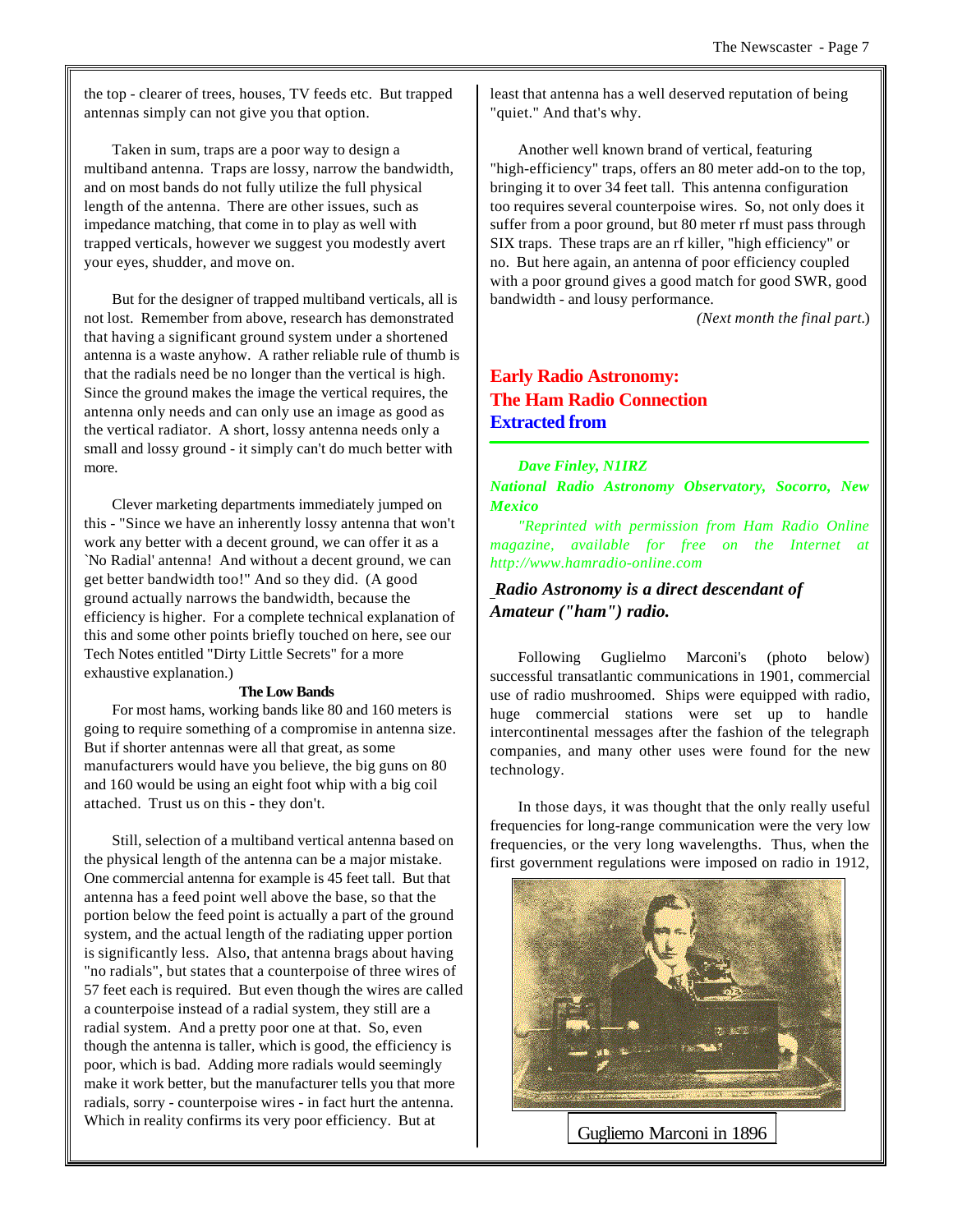the top - clearer of trees, houses, TV feeds etc. But trapped antennas simply can not give you that option.

Taken in sum, traps are a poor way to design a multiband antenna. Traps are lossy, narrow the bandwidth, and on most bands do not fully utilize the full physical length of the antenna. There are other issues, such as impedance matching, that come in to play as well with trapped verticals, however we suggest you modestly avert your eyes, shudder, and move on.

But for the designer of trapped multiband verticals, all is not lost. Remember from above, research has demonstrated that having a significant ground system under a shortened antenna is a waste anyhow. A rather reliable rule of thumb is that the radials need be no longer than the vertical is high. Since the ground makes the image the vertical requires, the antenna only needs and can only use an image as good as the vertical radiator. A short, lossy antenna needs only a small and lossy ground - it simply can't do much better with more.

Clever marketing departments immediately jumped on this - "Since we have an inherently lossy antenna that won't work any better with a decent ground, we can offer it as a `No Radial' antenna! And without a decent ground, we can get better bandwidth too!" And so they did. (A good ground actually narrows the bandwidth, because the efficiency is higher. For a complete technical explanation of this and some other points briefly touched on here, see our Tech Notes entitled "Dirty Little Secrets" for a more exhaustive explanation.)

#### **The Low Bands**

For most hams, working bands like 80 and 160 meters is going to require something of a compromise in antenna size. But if shorter antennas were all that great, as some manufacturers would have you believe, the big guns on 80 and 160 would be using an eight foot whip with a big coil attached. Trust us on this - they don't.

Still, selection of a multiband vertical antenna based on the physical length of the antenna can be a major mistake. One commercial antenna for example is 45 feet tall. But that antenna has a feed point well above the base, so that the portion below the feed point is actually a part of the ground system, and the actual length of the radiating upper portion is significantly less. Also, that antenna brags about having "no radials", but states that a counterpoise of three wires of 57 feet each is required. But even though the wires are called a counterpoise instead of a radial system, they still are a radial system. And a pretty poor one at that. So, even though the antenna is taller, which is good, the efficiency is poor, which is bad. Adding more radials would seemingly make it work better, but the manufacturer tells you that more radials, sorry - counterpoise wires - in fact hurt the antenna. Which in reality confirms its very poor efficiency. But at

least that antenna has a well deserved reputation of being "quiet." And that's why.

Another well known brand of vertical, featuring "high-efficiency" traps, offers an 80 meter add-on to the top, bringing it to over 34 feet tall. This antenna configuration too requires several counterpoise wires. So, not only does it suffer from a poor ground, but 80 meter rf must pass through SIX traps. These traps are an rf killer, "high efficiency" or no. But here again, an antenna of poor efficiency coupled with a poor ground gives a good match for good SWR, good bandwidth - and lousy performance.

*(Next month the final part.*)

# **Early Radio Astronomy: The Ham Radio Connection Extracted from**

#### *Dave Finley, N1IRZ*

*National Radio Astronomy Observatory, Socorro, New Mexico*

*"Reprinted with permission from Ham Radio Online magazine, available for free on the Internet at http://www.hamradio-online.com*

## *Radio Astronomy is a direct descendant of Amateur ("ham") radio.*

Following Guglielmo Marconi's (photo below) successful transatlantic communications in 1901, commercial use of radio mushroomed. Ships were equipped with radio, huge commercial stations were set up to handle intercontinental messages after the fashion of the telegraph companies, and many other uses were found for the new technology.

In those days, it was thought that the only really useful frequencies for long-range communication were the very low frequencies, or the very long wavelengths. Thus, when the first government regulations were imposed on radio in 1912,



Gugliemo Marconi in 1896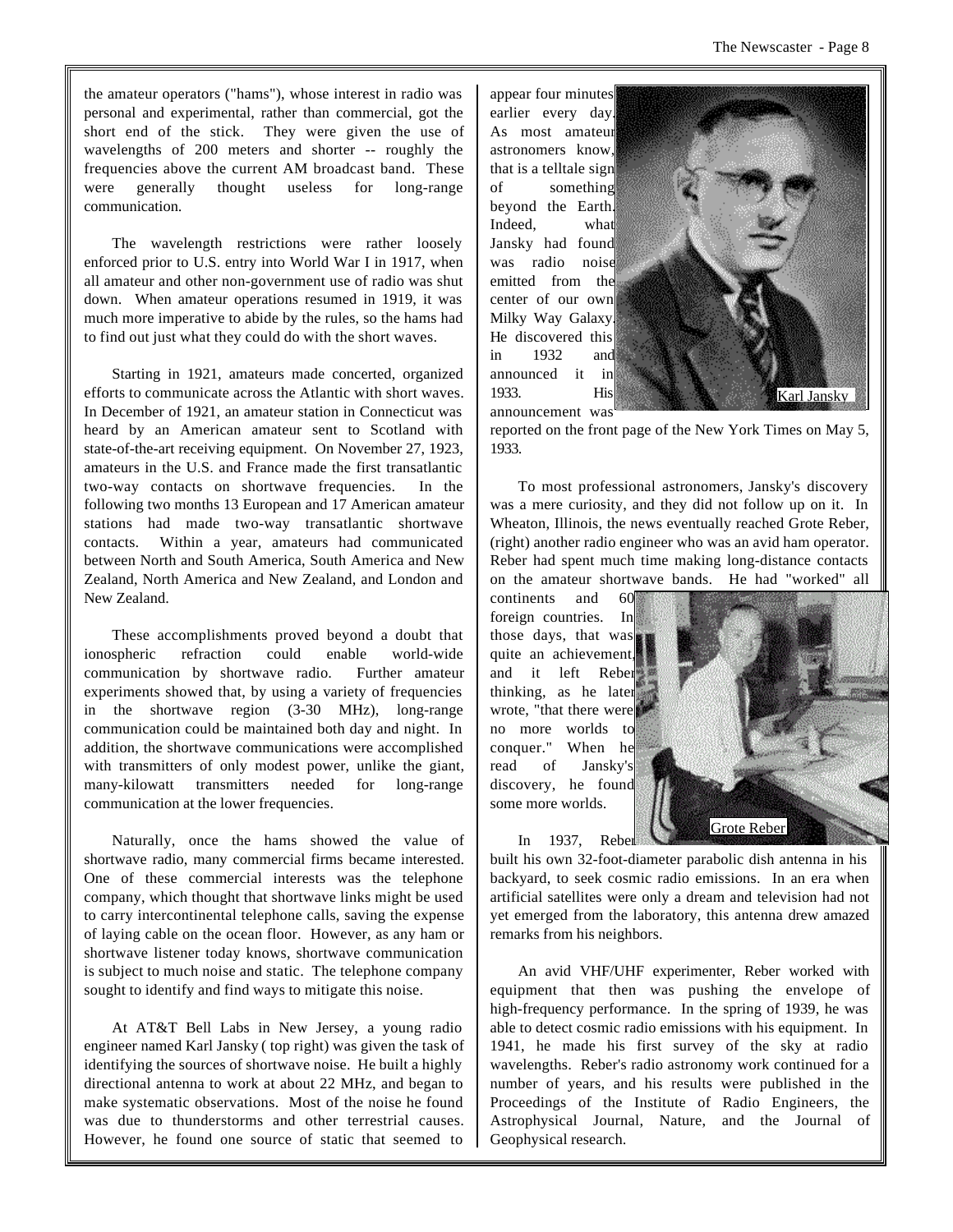the amateur operators ("hams"), whose interest in radio was personal and experimental, rather than commercial, got the short end of the stick. They were given the use of wavelengths of 200 meters and shorter -- roughly the frequencies above the current AM broadcast band. These were generally thought useless for long-range communication.

The wavelength restrictions were rather loosely enforced prior to U.S. entry into World War I in 1917, when all amateur and other non-government use of radio was shut down. When amateur operations resumed in 1919, it was much more imperative to abide by the rules, so the hams had to find out just what they could do with the short waves.

Starting in 1921, amateurs made concerted, organized efforts to communicate across the Atlantic with short waves. In December of 1921, an amateur station in Connecticut was heard by an American amateur sent to Scotland with state-of-the-art receiving equipment. On November 27, 1923, amateurs in the U.S. and France made the first transatlantic two-way contacts on shortwave frequencies. In the following two months 13 European and 17 American amateur stations had made two-way transatlantic shortwave contacts. Within a year, amateurs had communicated between North and South America, South America and New Zealand, North America and New Zealand, and London and New Zealand.

These accomplishments proved beyond a doubt that ionospheric refraction could enable world-wide communication by shortwave radio. Further amateur experiments showed that, by using a variety of frequencies in the shortwave region (3-30 MHz), long-range communication could be maintained both day and night. In addition, the shortwave communications were accomplished with transmitters of only modest power, unlike the giant, many-kilowatt transmitters needed for long-range communication at the lower frequencies.

Naturally, once the hams showed the value of shortwave radio, many commercial firms became interested. One of these commercial interests was the telephone company, which thought that shortwave links might be used to carry intercontinental telephone calls, saving the expense of laying cable on the ocean floor. However, as any ham or shortwave listener today knows, shortwave communication is subject to much noise and static. The telephone company sought to identify and find ways to mitigate this noise.

At AT&T Bell Labs in New Jersey, a young radio engineer named Karl Jansky ( top right) was given the task of identifying the sources of shortwave noise. He built a highly directional antenna to work at about 22 MHz, and began to make systematic observations. Most of the noise he found was due to thunderstorms and other terrestrial causes. However, he found one source of static that seemed to appear four minutes earlier every day. As most amateur astronomers know, that is a telltale sign of something beyond the Earth Indeed, what Jansky had found was radio noise emitted from the center of our own Milky Way Galaxy. He discovered this in 1932 and announced it in 1933. His announcement was



reported on the front page of the New York Times on May 5, 1933.

To most professional astronomers, Jansky's discovery was a mere curiosity, and they did not follow up on it. In Wheaton, Illinois, the news eventually reached Grote Reber, (right) another radio engineer who was an avid ham operator. Reber had spent much time making long-distance contacts on the amateur shortwave bands. He had "worked" all

continents and 60 foreign countries. In those days, that was quite an achievement, and it left Reber thinking, as he later wrote, "that there were no more worlds to conquer." When he read of Jansky's discovery, he found some more worlds.



In 1937, Reber built his own 32-foot-diameter parabolic dish antenna in his backyard, to seek cosmic radio emissions. In an era when artificial satellites were only a dream and television had not yet emerged from the laboratory, this antenna drew amazed remarks from his neighbors.

An avid VHF/UHF experimenter, Reber worked with equipment that then was pushing the envelope of high-frequency performance. In the spring of 1939, he was able to detect cosmic radio emissions with his equipment. In 1941, he made his first survey of the sky at radio wavelengths. Reber's radio astronomy work continued for a number of years, and his results were published in the Proceedings of the Institute of Radio Engineers, the Astrophysical Journal, Nature, and the Journal of Geophysical research.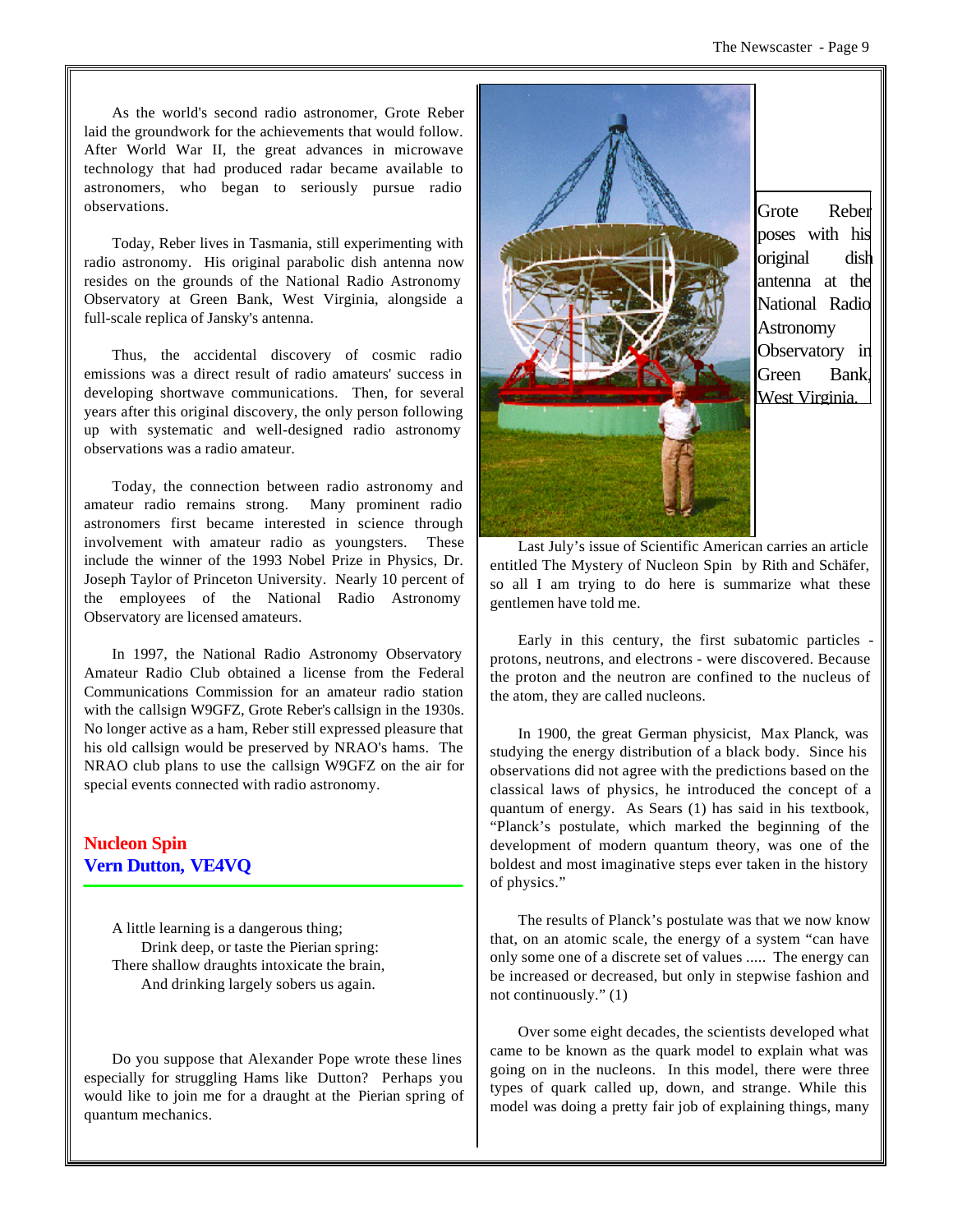As the world's second radio astronomer, Grote Reber laid the groundwork for the achievements that would follow. After World War II, the great advances in microwave technology that had produced radar became available to astronomers, who began to seriously pursue radio observations.

Today, Reber lives in Tasmania, still experimenting with radio astronomy. His original parabolic dish antenna now resides on the grounds of the National Radio Astronomy Observatory at Green Bank, West Virginia, alongside a full-scale replica of Jansky's antenna.

Thus, the accidental discovery of cosmic radio emissions was a direct result of radio amateurs' success in developing shortwave communications. Then, for several years after this original discovery, the only person following up with systematic and well-designed radio astronomy observations was a radio amateur.

Today, the connection between radio astronomy and amateur radio remains strong. Many prominent radio astronomers first became interested in science through involvement with amateur radio as youngsters. These include the winner of the 1993 Nobel Prize in Physics, Dr. Joseph Taylor of Princeton University. Nearly 10 percent of the employees of the National Radio Astronomy Observatory are licensed amateurs.

In 1997, the National Radio Astronomy Observatory Amateur Radio Club obtained a license from the Federal Communications Commission for an amateur radio station with the callsign W9GFZ, Grote Reber's callsign in the 1930s. No longer active as a ham, Reber still expressed pleasure that his old callsign would be preserved by NRAO's hams. The NRAO club plans to use the callsign W9GFZ on the air for special events connected with radio astronomy.

# **Nucleon Spin Vern Dutton, VE4VQ**

A little learning is a dangerous thing; Drink deep, or taste the Pierian spring: There shallow draughts intoxicate the brain, And drinking largely sobers us again.

Do you suppose that Alexander Pope wrote these lines especially for struggling Hams like Dutton? Perhaps you would like to join me for a draught at the Pierian spring of quantum mechanics.



Grote Reber poses with his original dish antenna at the National Radio **Astronomy** Observatory in Green Bank, West Virginia.

Last July's issue of Scientific American carries an article entitled The Mystery of Nucleon Spin by Rith and Schäfer, so all I am trying to do here is summarize what these gentlemen have told me.

Early in this century, the first subatomic particles protons, neutrons, and electrons - were discovered. Because the proton and the neutron are confined to the nucleus of the atom, they are called nucleons.

In 1900, the great German physicist, Max Planck, was studying the energy distribution of a black body. Since his observations did not agree with the predictions based on the classical laws of physics, he introduced the concept of a quantum of energy. As Sears (1) has said in his textbook, "Planck's postulate, which marked the beginning of the development of modern quantum theory, was one of the boldest and most imaginative steps ever taken in the history of physics."

The results of Planck's postulate was that we now know that, on an atomic scale, the energy of a system "can have only some one of a discrete set of values ..... The energy can be increased or decreased, but only in stepwise fashion and not continuously." (1)

Over some eight decades, the scientists developed what came to be known as the quark model to explain what was going on in the nucleons. In this model, there were three types of quark called up, down, and strange. While this model was doing a pretty fair job of explaining things, many